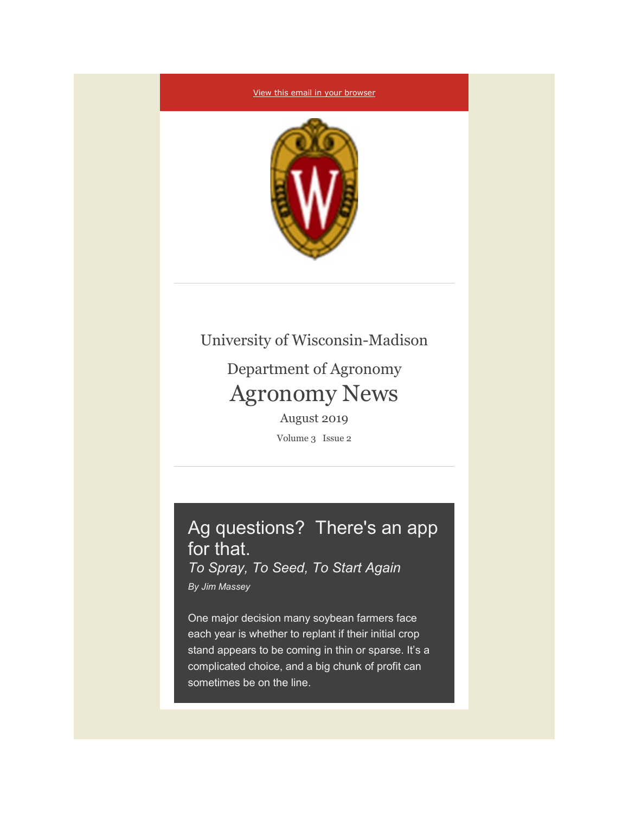#### [View this email in your browser](https://mailchi.mp/ddb990967a27/agronomy-newsletter-august-2019?e=c3fe8f4ddb)



### University of Wisconsin-Madison

# Department of Agronomy Agronomy News

August 2019 Volume 3 Issue 2

## Ag questions? There's an app for that.

*To Spray, To Seed, To Start Again By Jim Massey*

One major decision many soybean farmers face each year is whether to replant if their initial crop stand appears to be coming in thin or sparse. It's a complicated choice, and a big chunk of profit can sometimes be on the line.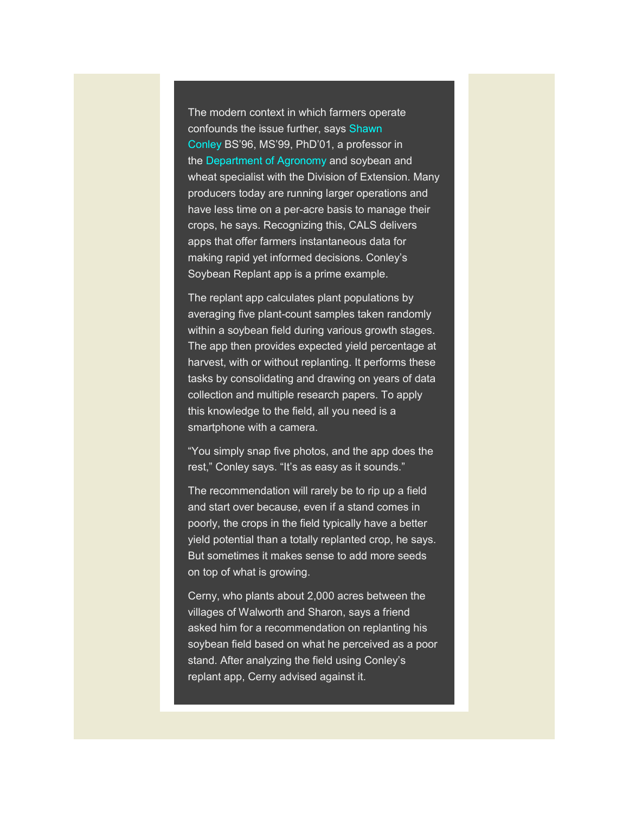The modern context in which farmers operate confounds the issue further, says [Shawn](https://agronomy.wisc.edu/shawn-conley/)  [Conley](https://agronomy.wisc.edu/shawn-conley/) BS'96, MS'99, PhD'01, a professor in the [Department of Agronomy](https://agronomy.wisc.edu/) and soybean and wheat specialist with the Division of Extension. Many producers today are running larger operations and have less time on a per-acre basis to manage their crops, he says. Recognizing this, CALS delivers apps that offer farmers instantaneous data for making rapid yet informed decisions. Conley's Soybean Replant app is a prime example.

The replant app calculates plant populations by averaging five plant-count samples taken randomly within a soybean field during various growth stages. The app then provides expected yield percentage at harvest, with or without replanting. It performs these tasks by consolidating and drawing on years of data collection and multiple research papers. To apply this knowledge to the field, all you need is a smartphone with a camera.

"You simply snap five photos, and the app does the rest," Conley says. "It's as easy as it sounds."

The recommendation will rarely be to rip up a field and start over because, even if a stand comes in poorly, the crops in the field typically have a better yield potential than a totally replanted crop, he says. But sometimes it makes sense to add more seeds on top of what is growing.

Cerny, who plants about 2,000 acres between the villages of Walworth and Sharon, says a friend asked him for a recommendation on replanting his soybean field based on what he perceived as a poor stand. After analyzing the field using Conley's replant app, Cerny advised against it.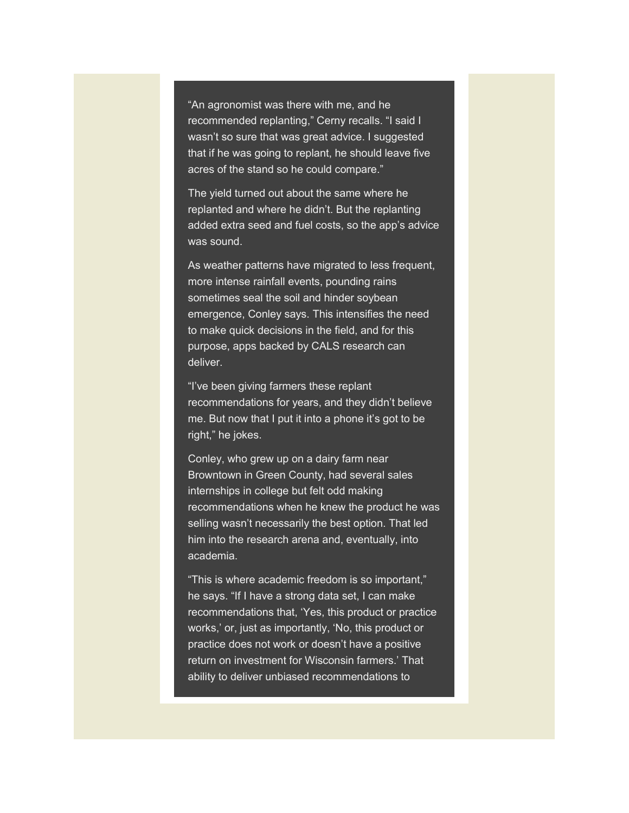"An agronomist was there with me, and he recommended replanting," Cerny recalls. "I said I wasn't so sure that was great advice. I suggested that if he was going to replant, he should leave five acres of the stand so he could compare."

The yield turned out about the same where he replanted and where he didn't. But the replanting added extra seed and fuel costs, so the app's advice was sound.

As weather patterns have migrated to less frequent, more intense rainfall events, pounding rains sometimes seal the soil and hinder soybean emergence, Conley says. This intensifies the need to make quick decisions in the field, and for this purpose, apps backed by CALS research can deliver.

"I've been giving farmers these replant recommendations for years, and they didn't believe me. But now that I put it into a phone it's got to be right," he jokes.

Conley, who grew up on a dairy farm near Browntown in Green County, had several sales internships in college but felt odd making recommendations when he knew the product he was selling wasn't necessarily the best option. That led him into the research arena and, eventually, into academia.

"This is where academic freedom is so important," he says. "If I have a strong data set, I can make recommendations that, 'Yes, this product or practice works,' or, just as importantly, 'No, this product or practice does not work or doesn't have a positive return on investment for Wisconsin farmers.' That ability to deliver unbiased recommendations to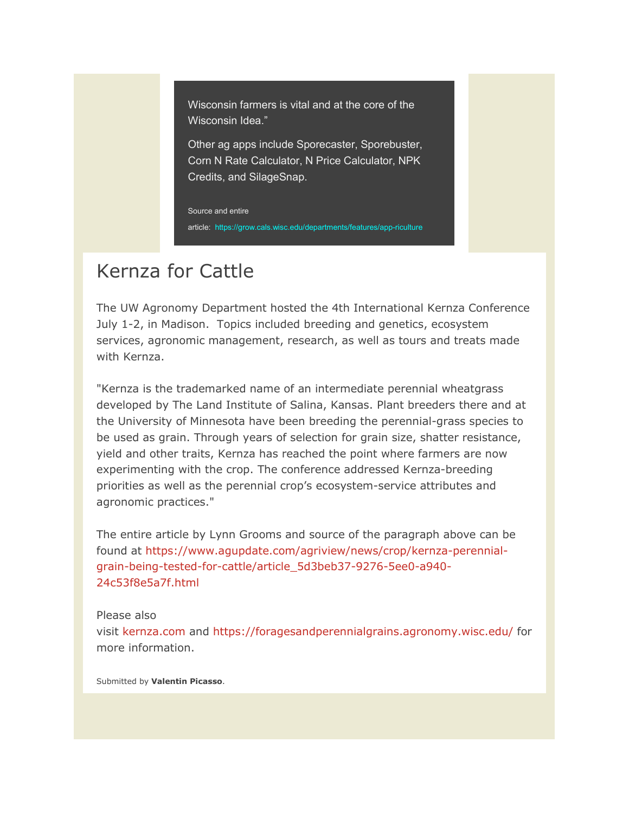Wisconsin farmers is vital and at the core of the Wisconsin Idea."

Other ag apps include Sporecaster, Sporebuster, Corn N Rate Calculator, N Price Calculator, NPK Credits, and SilageSnap.

Source and entire

article:<https://grow.cals.wisc.edu/departments/features/app-riculture>

# Kernza for Cattle

The UW Agronomy Department hosted the 4th International Kernza Conference July 1-2, in Madison. Topics included breeding and genetics, ecosystem services, agronomic management, research, as well as tours and treats made with Kernza.

"Kernza is the trademarked name of an intermediate perennial wheatgrass developed by The Land Institute of Salina, Kansas. Plant breeders there and at the University of Minnesota have been breeding the perennial-grass species to be used as grain. Through years of selection for grain size, shatter resistance, yield and other traits, Kernza has reached the point where farmers are now experimenting with the crop. The conference addressed Kernza-breeding priorities as well as the perennial crop's ecosystem-service attributes and agronomic practices."

The entire article by Lynn Grooms and source of the paragraph above can be found at [https://www.agupdate.com/agriview/news/crop/kernza-perennial](https://www.agupdate.com/agriview/news/crop/kernza-perennial-grain-being-tested-for-cattle/article_5d3beb37-9276-5ee0-a940-24c53f8e5a7f.html)[grain-being-tested-for-cattle/article\\_5d3beb37-9276-5ee0-a940-](https://www.agupdate.com/agriview/news/crop/kernza-perennial-grain-being-tested-for-cattle/article_5d3beb37-9276-5ee0-a940-24c53f8e5a7f.html) [24c53f8e5a7f.html](https://www.agupdate.com/agriview/news/crop/kernza-perennial-grain-being-tested-for-cattle/article_5d3beb37-9276-5ee0-a940-24c53f8e5a7f.html)

### Please also

visit [kernza.com](http://www.kernza.com/) and <https://foragesandperennialgrains.agronomy.wisc.edu/> for more information.

Submitted by **Valentin Picasso**.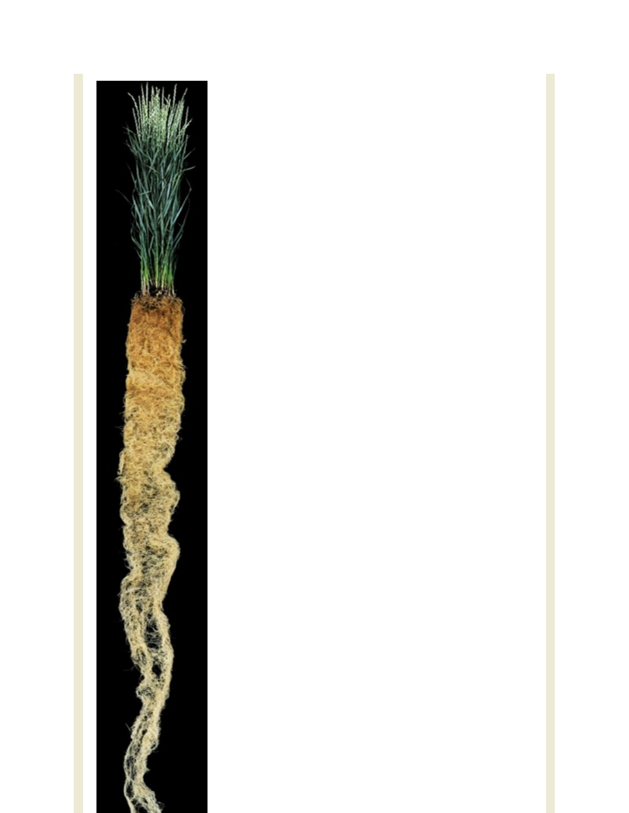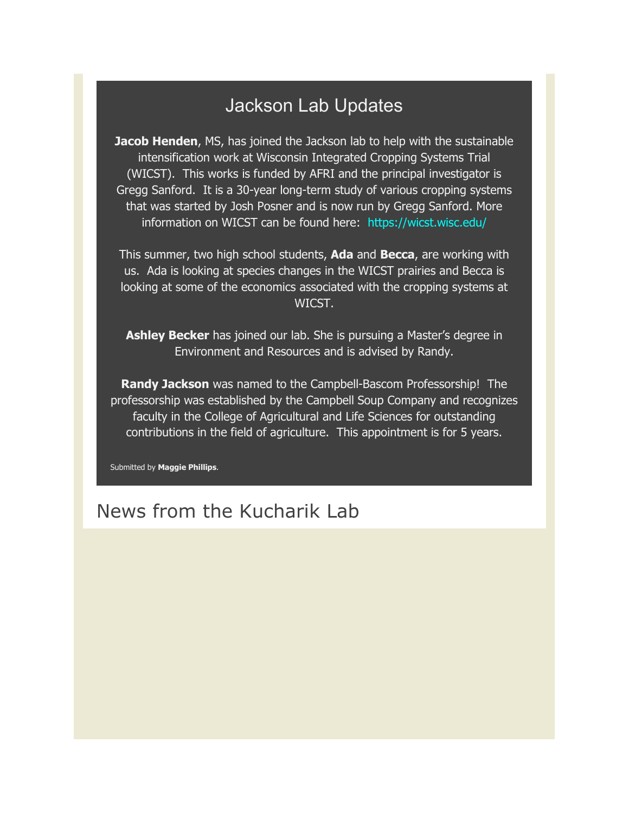## Jackson Lab Updates

**Jacob Henden**, MS, has joined the Jackson lab to help with the sustainable intensification work at Wisconsin Integrated Cropping Systems Trial (WICST). This works is funded by AFRI and the principal investigator is Gregg Sanford. It is a 30-year long-term study of various cropping systems that was started by Josh Posner and is now run by Gregg Sanford. More information on WICST can be found here: <https://wicst.wisc.edu/>

This summer, two high school students, **Ada** and **Becca**, are working with us. Ada is looking at species changes in the WICST prairies and Becca is looking at some of the economics associated with the cropping systems at WICST.

**Ashley Becker** has joined our lab. She is pursuing a Master's degree in Environment and Resources and is advised by Randy.

**Randy Jackson** was named to the Campbell-Bascom Professorship! The professorship was established by the Campbell Soup Company and recognizes faculty in the College of Agricultural and Life Sciences for outstanding contributions in the field of agriculture. This appointment is for 5 years.

Submitted by **Maggie Phillips**.

## News from the Kucharik Lab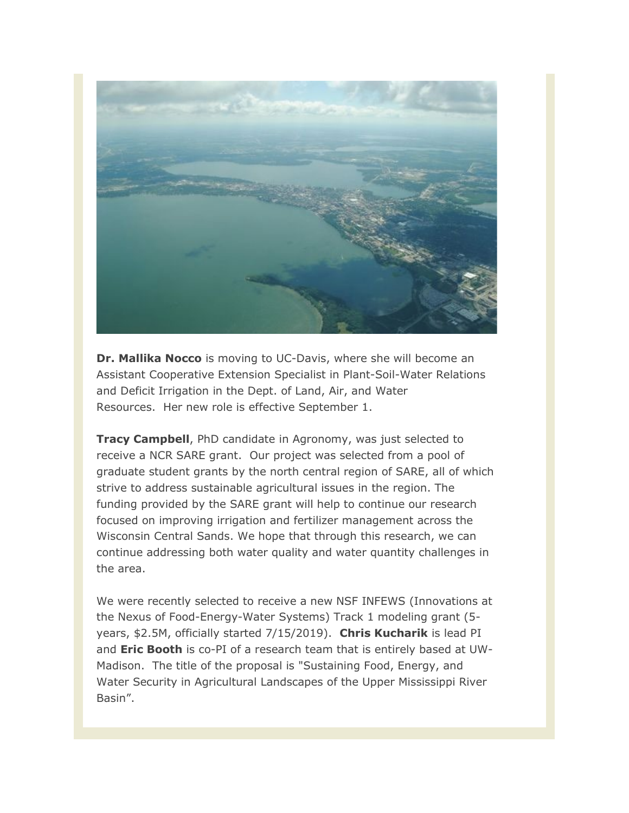

**Dr. Mallika Nocco** is moving to UC-Davis, where she will become an Assistant Cooperative Extension Specialist in Plant-Soil-Water Relations and Deficit Irrigation in the Dept. of Land, Air, and Water Resources. Her new role is effective September 1.

**Tracy Campbell**, PhD candidate in Agronomy, was just selected to receive a NCR SARE grant. Our project was selected from a pool of graduate student grants by the north central region of SARE, all of which strive to address sustainable agricultural issues in the region. The funding provided by the SARE grant will help to continue our research focused on improving irrigation and fertilizer management across the Wisconsin Central Sands. We hope that through this research, we can continue addressing both water quality and water quantity challenges in the area.

We were recently selected to receive a new NSF INFEWS (Innovations at the Nexus of Food-Energy-Water Systems) Track 1 modeling grant (5 years, \$2.5M, officially started 7/15/2019). **Chris Kucharik** is lead PI and **Eric Booth** is co-PI of a research team that is entirely based at UW-Madison. The title of the proposal is "Sustaining Food, Energy, and Water Security in Agricultural Landscapes of the Upper Mississippi River Basin".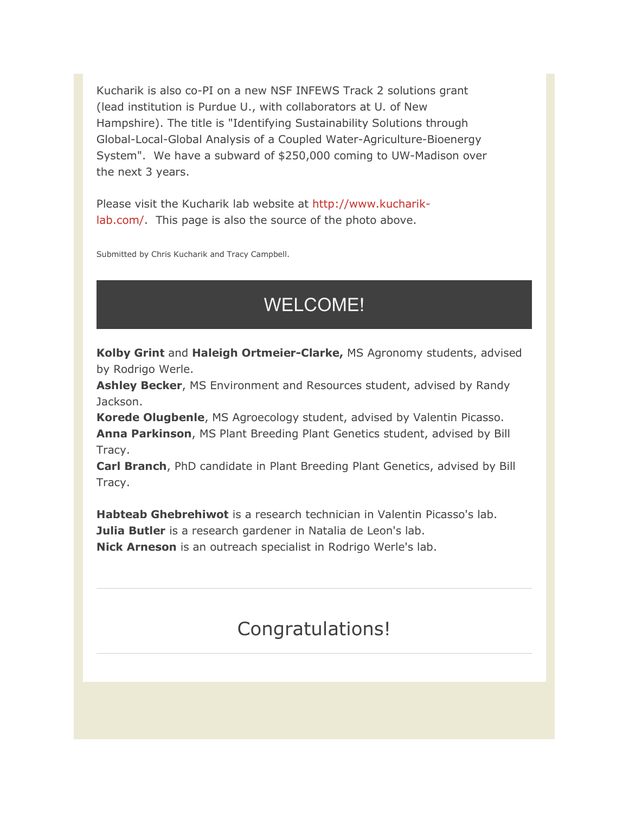Kucharik is also co-PI on a new NSF INFEWS Track 2 solutions grant (lead institution is Purdue U., with collaborators at U. of New Hampshire). The title is "Identifying Sustainability Solutions through Global-Local-Global Analysis of a Coupled Water-Agriculture-Bioenergy System". We have a subward of \$250,000 coming to UW-Madison over the next 3 years.

Please visit the Kucharik lab website at [http://www.kucharik](http://www.kucharik-lab.com/)[lab.com/.](http://www.kucharik-lab.com/) This page is also the source of the photo above.

Submitted by Chris Kucharik and Tracy Campbell.

# WELCOME!

**Kolby Grint** and **Haleigh Ortmeier-Clarke,** MS Agronomy students, advised by Rodrigo Werle.

**Ashley Becker**, MS Environment and Resources student, advised by Randy Jackson.

**Korede Olugbenle**, MS Agroecology student, advised by Valentin Picasso. **Anna Parkinson**, MS Plant Breeding Plant Genetics student, advised by Bill Tracy.

**Carl Branch**, PhD candidate in Plant Breeding Plant Genetics, advised by Bill Tracy.

**Habteab Ghebrehiwot** is a research technician in Valentin Picasso's lab. **Julia Butler** is a research gardener in Natalia de Leon's lab.

**Nick Arneson** is an outreach specialist in Rodrigo Werle's lab.

# Congratulations!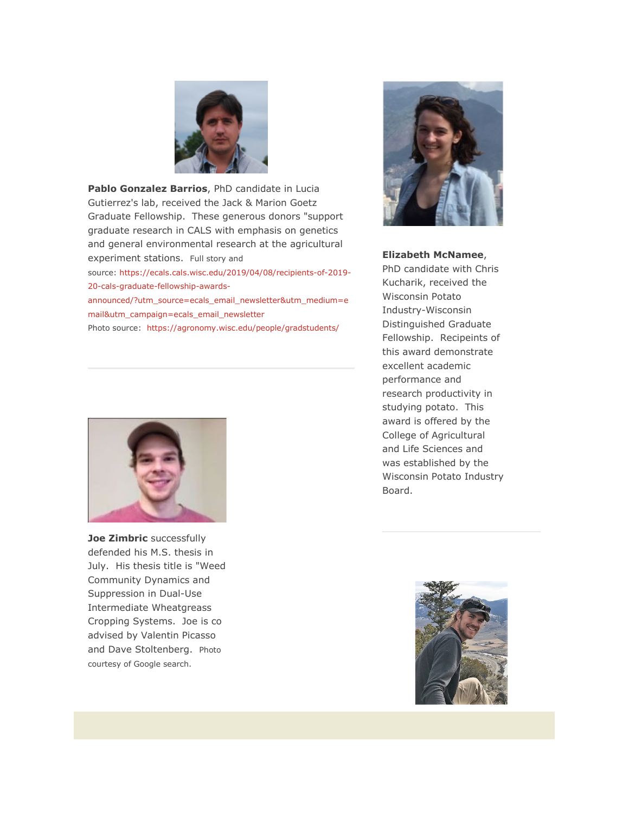

**Pablo Gonzalez Barrios**, PhD candidate in Lucia Gutierrez's lab, received the Jack & Marion Goetz Graduate Fellowship. These generous donors "support graduate research in CALS with emphasis on genetics and general environmental research at the agricultural experiment stations. Full story and source: [https://ecals.cals.wisc.edu/2019/04/08/recipients-of-2019-](https://ecals.cals.wisc.edu/2019/04/08/recipients-of-2019-20-cals-graduate-fellowship-awards-announced/?utm_source=ecals_email_newsletter&utm_medium=email&utm_campaign=ecals_email_newsletter) [20-cals-graduate-fellowship-awards](https://ecals.cals.wisc.edu/2019/04/08/recipients-of-2019-20-cals-graduate-fellowship-awards-announced/?utm_source=ecals_email_newsletter&utm_medium=email&utm_campaign=ecals_email_newsletter)[announced/?utm\\_source=ecals\\_email\\_newsletter&utm\\_medium=e](https://ecals.cals.wisc.edu/2019/04/08/recipients-of-2019-20-cals-graduate-fellowship-awards-announced/?utm_source=ecals_email_newsletter&utm_medium=email&utm_campaign=ecals_email_newsletter) [mail&utm\\_campaign=ecals\\_email\\_newsletter](https://ecals.cals.wisc.edu/2019/04/08/recipients-of-2019-20-cals-graduate-fellowship-awards-announced/?utm_source=ecals_email_newsletter&utm_medium=email&utm_campaign=ecals_email_newsletter) Photo source: <https://agronomy.wisc.edu/people/gradstudents/>



#### **Elizabeth McNamee**,

PhD candidate with Chris Kucharik, received the Wisconsin Potato Industry-Wisconsin Distinguished Graduate Fellowship. Recipeints of this award demonstrate excellent academic performance and research productivity in studying potato. This award is offered by the College of Agricultural and Life Sciences and was established by the Wisconsin Potato Industry Board.



**Joe Zimbric** successfully defended his M.S. thesis in July. His thesis title is "Weed Community Dynamics and Suppression in Dual-Use Intermediate Wheatgreass Cropping Systems. Joe is co advised by Valentin Picasso and Dave Stoltenberg. Photo courtesy of Google search.

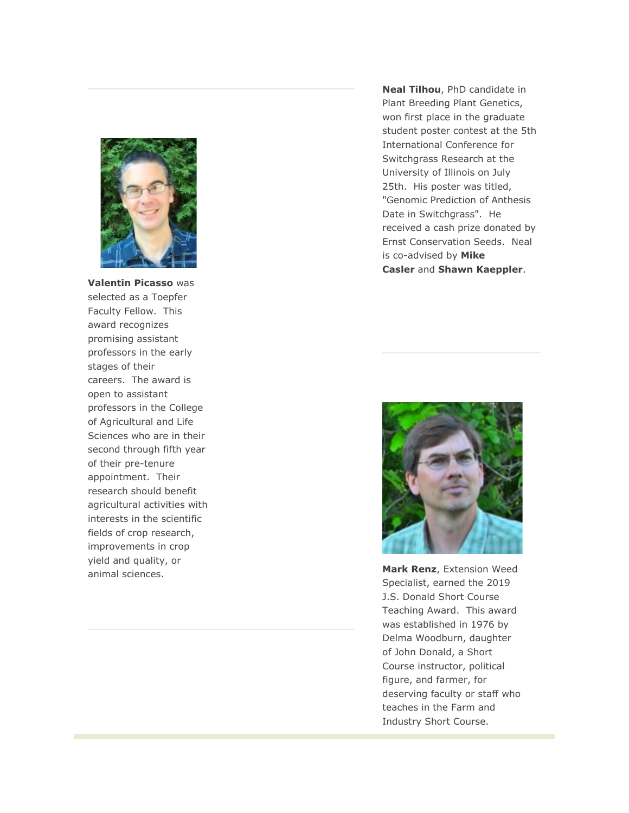

**Valentin Picasso** was selected as a Toepfer Faculty Fellow. This award recognizes promising assistant professors in the early stages of their careers. The award is open to assistant professors in the College of Agricultural and Life Sciences who are in their second through fifth year of their pre -tenure appointment. Their research should benefit agricultural activities with interests in the scientific fields of crop research, improvements in crop yield and quality, or animal sciences.

**Neal Tilhou**, PhD candidate in Plant Breeding Plant Genetics, won first place in the graduate student poster contest at the 5th International Conference for Switchgrass Research at the University of Illinois on July 25th. His poster was titled, "Genomic Prediction of Anthesis Date in Switchgrass". He received a cash prize donated by Ernst Conservation Seeds. Neal is co -advised by **Mike Casler** and **Shawn Kaeppler** .



**Mark Renz**, Extension Weed Specialist, earned the 2019 J.S. Donald Short Course Teaching Award. This award was established in 1976 by Delma Woodburn, daughter of John Donald, a Short Course instructor, political figure, and farmer, for deserving faculty or staff who teaches in the Farm and Industry Short Course.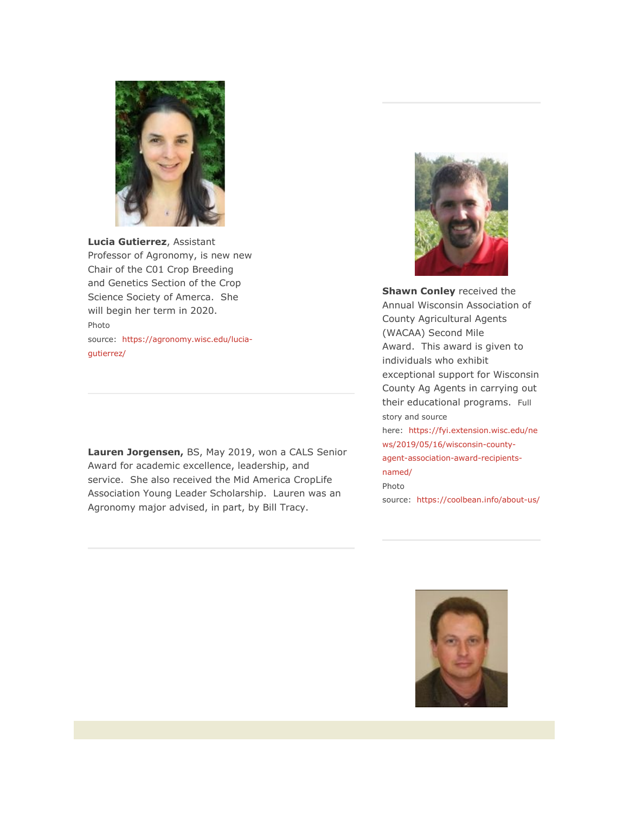

**Lucia Gutierrez**, Assistant Professor of Agronomy, is new new Chair of the C01 Crop Breeding and Genetics Section of the Crop Science Society of Amerca. She will begin her term in 2020. Photo source: [https://agronomy.wisc.edu/lucia](https://agronomy.wisc.edu/lucia-gutierrez/)[gutierrez/](https://agronomy.wisc.edu/lucia-gutierrez/)

**Lauren Jorgensen,** BS, May 2019, won a CALS Senior Award for academic excellence, leadership, and service. She also received the Mid America CropLife Association Young Leader Scholarship. Lauren was an Agronomy major advised, in part, by Bill Tracy.



**Shawn Conley** received the Annual Wisconsin Association of County Agricultural Agents (WACAA) Second Mile Award. This award is given to individuals who exhibit exceptional support for Wisconsin County Ag Agents in carrying out their educational programs. Full story and source here: [https://fyi.extension.wisc.edu/ne](https://fyi.extension.wisc.edu/news/2019/05/16/wisconsin-county-agent-association-award-recipients-named/) [ws/2019/05/16/wisconsin-county](https://fyi.extension.wisc.edu/news/2019/05/16/wisconsin-county-agent-association-award-recipients-named/)[agent-association-award-recipients](https://fyi.extension.wisc.edu/news/2019/05/16/wisconsin-county-agent-association-award-recipients-named/)[named/](https://fyi.extension.wisc.edu/news/2019/05/16/wisconsin-county-agent-association-award-recipients-named/) Photo source: <https://coolbean.info/about-us/>

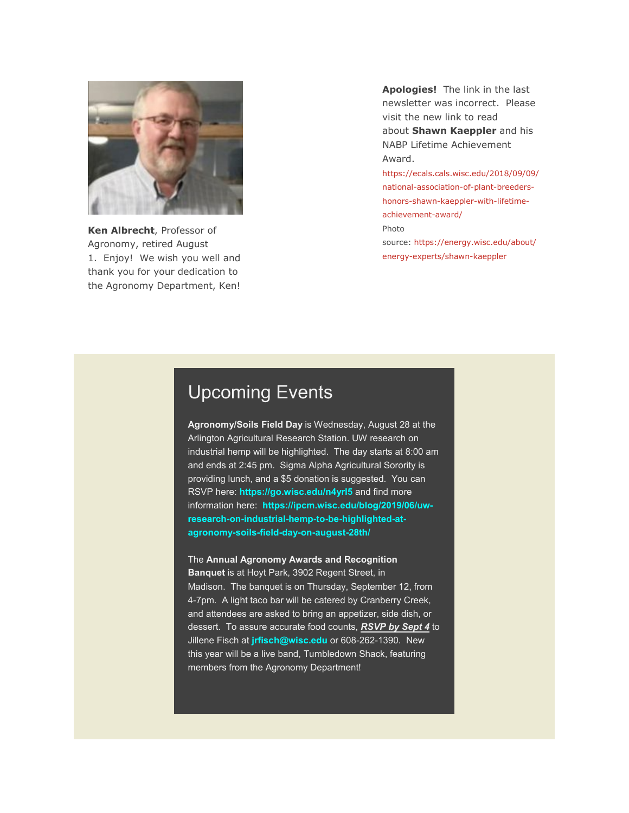

**Ken Albrecht**, Professor of Agronomy, retired August 1. Enjoy! We wish you well and thank you for your dedication to the Agronomy Department, Ken!

**Apologies!** The link in the last newsletter was incorrect. Please visit the new link to read about **Shawn Kaeppler** and his NABP Lifetime Achievement

Award.

[https://ecals.cals.wisc.edu/2018/09/09/](https://ecals.cals.wisc.edu/2018/09/09/national-association-of-plant-breeders-honors-shawn-kaeppler-with-lifetime-achievement-award/) [national-association-of-plant-breeders](https://ecals.cals.wisc.edu/2018/09/09/national-association-of-plant-breeders-honors-shawn-kaeppler-with-lifetime-achievement-award/)[honors-shawn-kaeppler-with-lifetime](https://ecals.cals.wisc.edu/2018/09/09/national-association-of-plant-breeders-honors-shawn-kaeppler-with-lifetime-achievement-award/)[achievement-award/](https://ecals.cals.wisc.edu/2018/09/09/national-association-of-plant-breeders-honors-shawn-kaeppler-with-lifetime-achievement-award/) Photo

source: [https://energy.wisc.edu/about/](https://energy.wisc.edu/about/energy-experts/shawn-kaeppler) [energy-experts/shawn-kaeppler](https://energy.wisc.edu/about/energy-experts/shawn-kaeppler)

## Upcoming Events

**Agronomy/Soils Field Day** is Wednesday, August 28 at the Arlington Agricultural Research Station. UW research on industrial hemp will be highlighted. The day starts at 8:00 am and ends at 2:45 pm. Sigma Alpha Agricultural Sorority is providing lunch, and a \$5 donation is suggested. You can RSVP here: **<https://go.wisc.edu/n4yrl5>** and find more information here: **[https://ipcm.wisc.edu/blog/2019/06/uw](https://ipcm.wisc.edu/blog/2019/06/uw-research-on-industrial-hemp-to-be-highlighted-at-agronomy-soils-field-day-on-august-28th/)[research-on-industrial-hemp-to-be-highlighted-at](https://ipcm.wisc.edu/blog/2019/06/uw-research-on-industrial-hemp-to-be-highlighted-at-agronomy-soils-field-day-on-august-28th/)[agronomy-soils-field-day-on-august-28th/](https://ipcm.wisc.edu/blog/2019/06/uw-research-on-industrial-hemp-to-be-highlighted-at-agronomy-soils-field-day-on-august-28th/)**

The **Annual Agronomy Awards and Recognition Banquet** is at Hoyt Park, 3902 Regent Street, in Madison. The banquet is on Thursday, September 12, from 4-7pm. A light taco bar will be catered by Cranberry Creek, and attendees are asked to bring an appetizer, side dish, or dessert. To assure accurate food counts, *RSVP by Sept 4* to Jillene Fisch at **[jrfisch@wisc.edu](mailto:jrfisch@wisc.edu?subject=RSVP%20to%20Agronomy%20Banquet)** or 608-262-1390. New this year will be a live band, Tumbledown Shack, featuring members from the Agronomy Department!